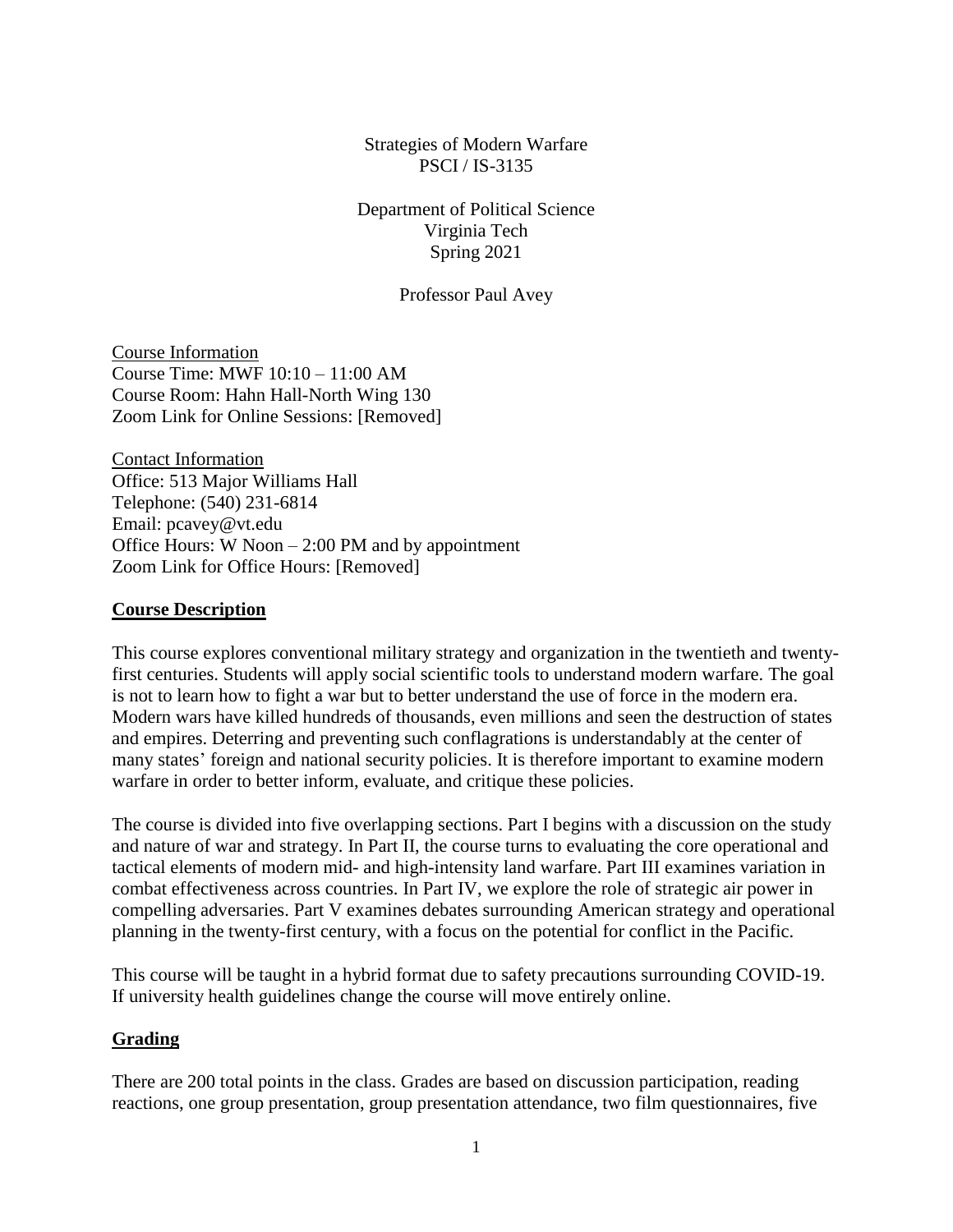Strategies of Modern Warfare PSCI / IS-3135

Department of Political Science Virginia Tech Spring 2021

Professor Paul Avey

Course Information Course Time: MWF 10:10 – 11:00 AM Course Room: Hahn Hall-North Wing 130 Zoom Link for Online Sessions: [Removed]

Contact Information Office: 513 Major Williams Hall Telephone: (540) 231-6814 Email: pcavey@vt.edu Office Hours: W Noon – 2:00 PM and by appointment Zoom Link for Office Hours: [Removed]

#### **Course Description**

This course explores conventional military strategy and organization in the twentieth and twentyfirst centuries. Students will apply social scientific tools to understand modern warfare. The goal is not to learn how to fight a war but to better understand the use of force in the modern era. Modern wars have killed hundreds of thousands, even millions and seen the destruction of states and empires. Deterring and preventing such conflagrations is understandably at the center of many states' foreign and national security policies. It is therefore important to examine modern warfare in order to better inform, evaluate, and critique these policies.

The course is divided into five overlapping sections. Part I begins with a discussion on the study and nature of war and strategy. In Part II, the course turns to evaluating the core operational and tactical elements of modern mid- and high-intensity land warfare. Part III examines variation in combat effectiveness across countries. In Part IV, we explore the role of strategic air power in compelling adversaries. Part V examines debates surrounding American strategy and operational planning in the twenty-first century, with a focus on the potential for conflict in the Pacific.

This course will be taught in a hybrid format due to safety precautions surrounding COVID-19. If university health guidelines change the course will move entirely online.

#### **Grading**

There are 200 total points in the class. Grades are based on discussion participation, reading reactions, one group presentation, group presentation attendance, two film questionnaires, five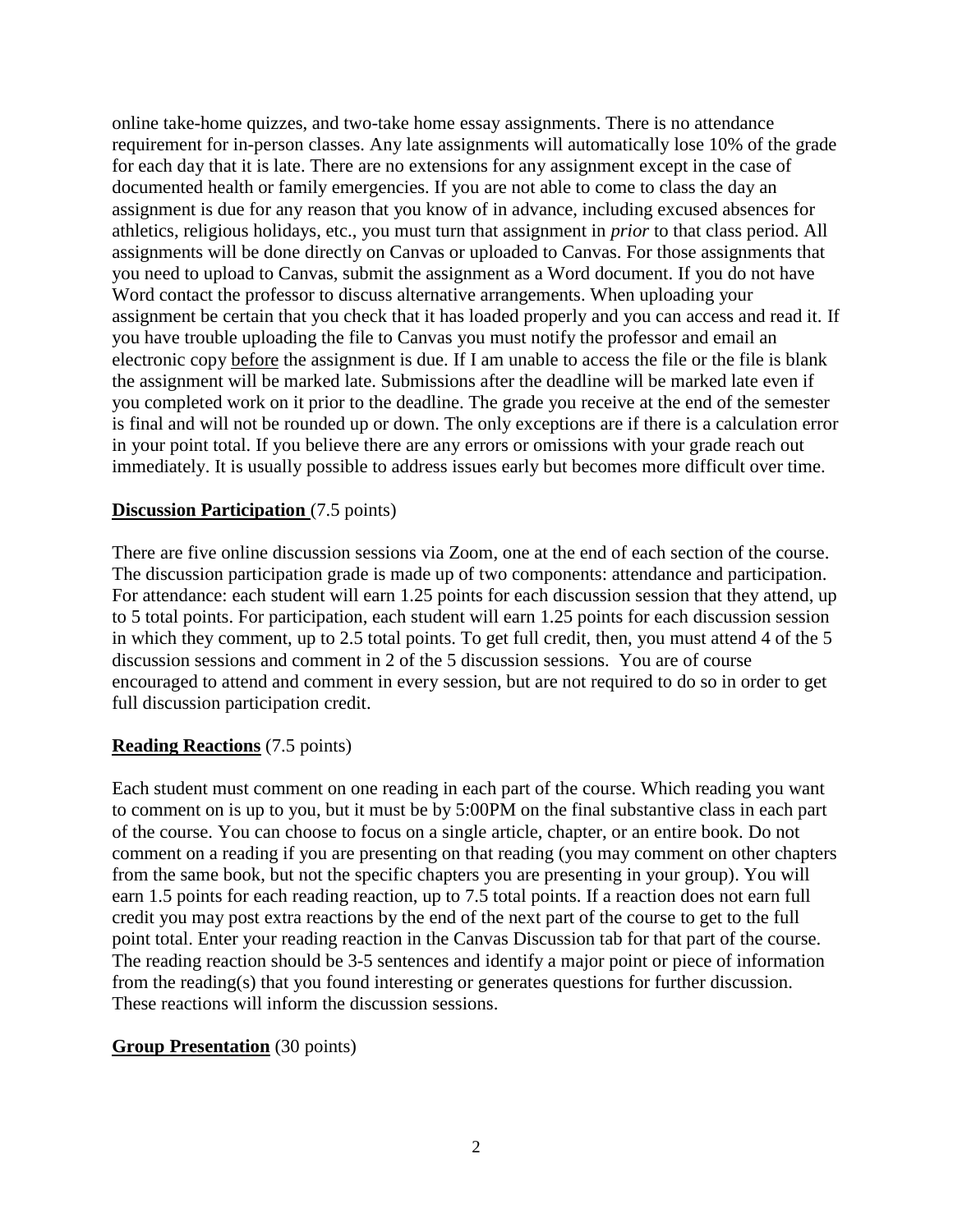online take-home quizzes, and two-take home essay assignments. There is no attendance requirement for in-person classes. Any late assignments will automatically lose 10% of the grade for each day that it is late. There are no extensions for any assignment except in the case of documented health or family emergencies. If you are not able to come to class the day an assignment is due for any reason that you know of in advance, including excused absences for athletics, religious holidays, etc., you must turn that assignment in *prior* to that class period. All assignments will be done directly on Canvas or uploaded to Canvas. For those assignments that you need to upload to Canvas, submit the assignment as a Word document. If you do not have Word contact the professor to discuss alternative arrangements. When uploading your assignment be certain that you check that it has loaded properly and you can access and read it. If you have trouble uploading the file to Canvas you must notify the professor and email an electronic copy before the assignment is due. If I am unable to access the file or the file is blank the assignment will be marked late. Submissions after the deadline will be marked late even if you completed work on it prior to the deadline. The grade you receive at the end of the semester is final and will not be rounded up or down. The only exceptions are if there is a calculation error in your point total. If you believe there are any errors or omissions with your grade reach out immediately. It is usually possible to address issues early but becomes more difficult over time.

#### **Discussion Participation** (7.5 points)

There are five online discussion sessions via Zoom, one at the end of each section of the course. The discussion participation grade is made up of two components: attendance and participation. For attendance: each student will earn 1.25 points for each discussion session that they attend, up to 5 total points. For participation, each student will earn 1.25 points for each discussion session in which they comment, up to 2.5 total points. To get full credit, then, you must attend 4 of the 5 discussion sessions and comment in 2 of the 5 discussion sessions. You are of course encouraged to attend and comment in every session, but are not required to do so in order to get full discussion participation credit.

#### **Reading Reactions** (7.5 points)

Each student must comment on one reading in each part of the course. Which reading you want to comment on is up to you, but it must be by 5:00PM on the final substantive class in each part of the course. You can choose to focus on a single article, chapter, or an entire book. Do not comment on a reading if you are presenting on that reading (you may comment on other chapters from the same book, but not the specific chapters you are presenting in your group). You will earn 1.5 points for each reading reaction, up to 7.5 total points. If a reaction does not earn full credit you may post extra reactions by the end of the next part of the course to get to the full point total. Enter your reading reaction in the Canvas Discussion tab for that part of the course. The reading reaction should be 3-5 sentences and identify a major point or piece of information from the reading(s) that you found interesting or generates questions for further discussion. These reactions will inform the discussion sessions.

#### **Group Presentation** (30 points)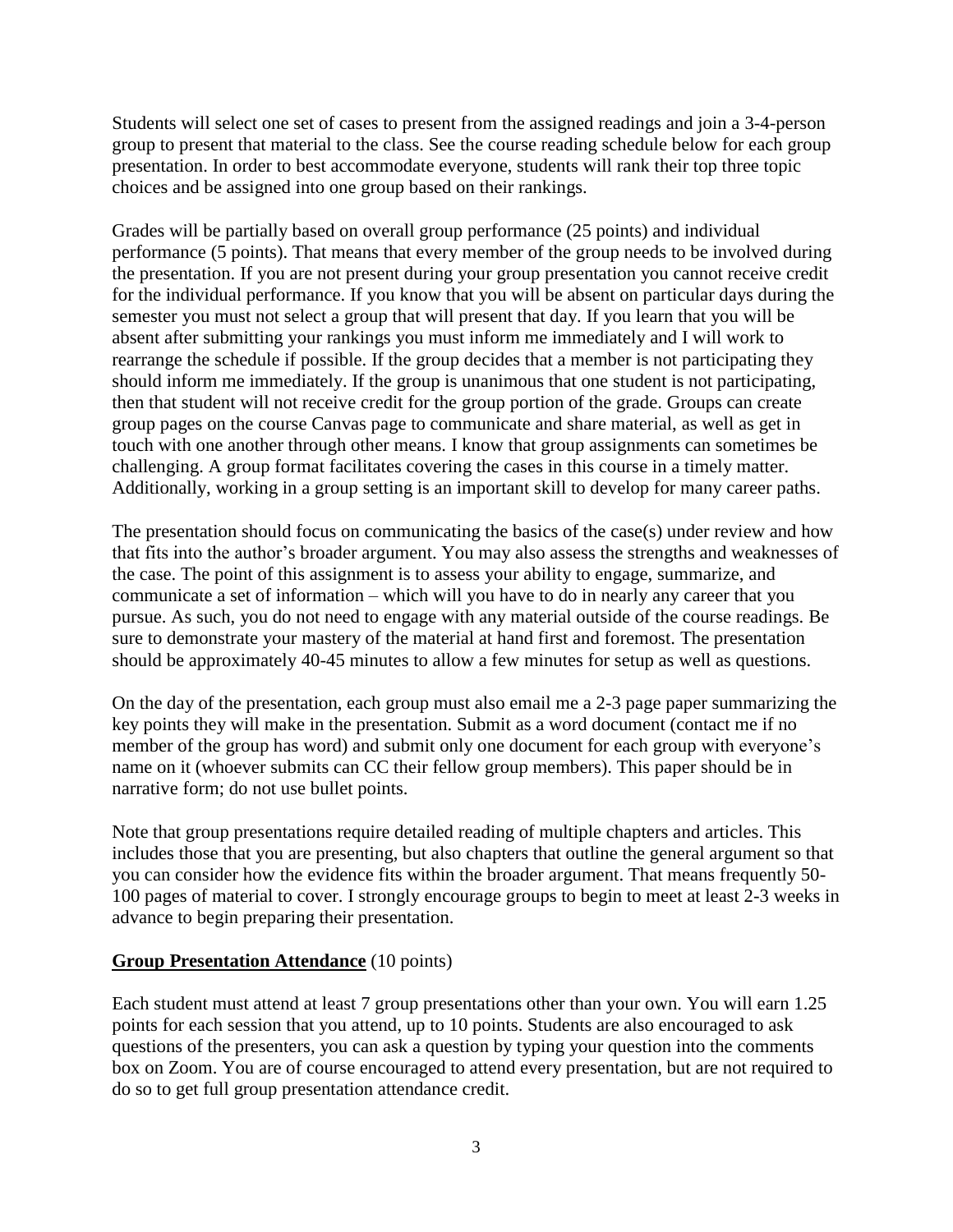Students will select one set of cases to present from the assigned readings and join a 3-4-person group to present that material to the class. See the course reading schedule below for each group presentation. In order to best accommodate everyone, students will rank their top three topic choices and be assigned into one group based on their rankings.

Grades will be partially based on overall group performance (25 points) and individual performance (5 points). That means that every member of the group needs to be involved during the presentation. If you are not present during your group presentation you cannot receive credit for the individual performance. If you know that you will be absent on particular days during the semester you must not select a group that will present that day. If you learn that you will be absent after submitting your rankings you must inform me immediately and I will work to rearrange the schedule if possible. If the group decides that a member is not participating they should inform me immediately. If the group is unanimous that one student is not participating, then that student will not receive credit for the group portion of the grade. Groups can create group pages on the course Canvas page to communicate and share material, as well as get in touch with one another through other means. I know that group assignments can sometimes be challenging. A group format facilitates covering the cases in this course in a timely matter. Additionally, working in a group setting is an important skill to develop for many career paths.

The presentation should focus on communicating the basics of the case(s) under review and how that fits into the author's broader argument. You may also assess the strengths and weaknesses of the case. The point of this assignment is to assess your ability to engage, summarize, and communicate a set of information – which will you have to do in nearly any career that you pursue. As such, you do not need to engage with any material outside of the course readings. Be sure to demonstrate your mastery of the material at hand first and foremost. The presentation should be approximately 40-45 minutes to allow a few minutes for setup as well as questions.

On the day of the presentation, each group must also email me a 2-3 page paper summarizing the key points they will make in the presentation. Submit as a word document (contact me if no member of the group has word) and submit only one document for each group with everyone's name on it (whoever submits can CC their fellow group members). This paper should be in narrative form; do not use bullet points.

Note that group presentations require detailed reading of multiple chapters and articles. This includes those that you are presenting, but also chapters that outline the general argument so that you can consider how the evidence fits within the broader argument. That means frequently 50- 100 pages of material to cover. I strongly encourage groups to begin to meet at least 2-3 weeks in advance to begin preparing their presentation.

#### **Group Presentation Attendance** (10 points)

Each student must attend at least 7 group presentations other than your own. You will earn 1.25 points for each session that you attend, up to 10 points. Students are also encouraged to ask questions of the presenters, you can ask a question by typing your question into the comments box on Zoom. You are of course encouraged to attend every presentation, but are not required to do so to get full group presentation attendance credit.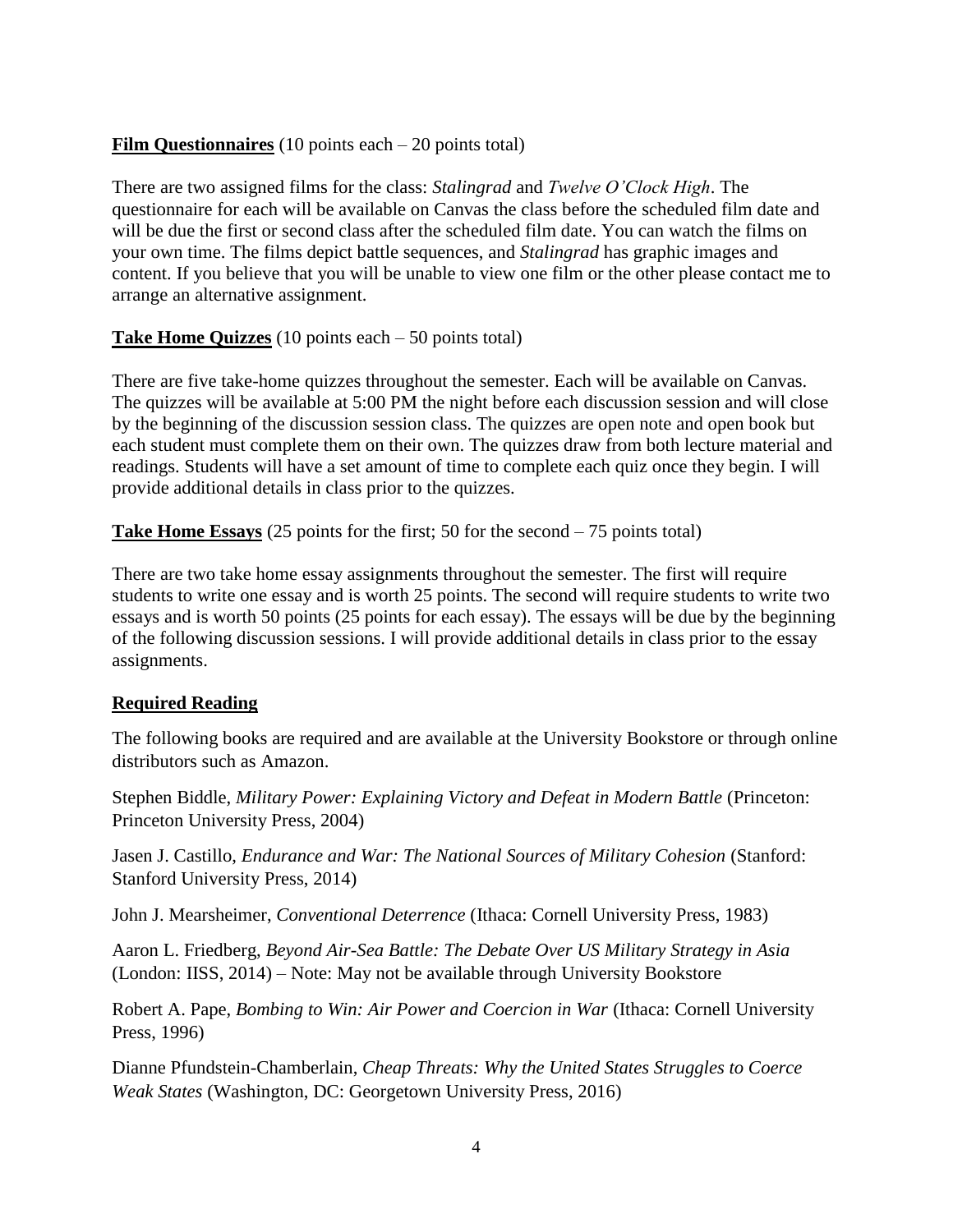# **Film Questionnaires** (10 points each – 20 points total)

There are two assigned films for the class: *Stalingrad* and *Twelve O'Clock High*. The questionnaire for each will be available on Canvas the class before the scheduled film date and will be due the first or second class after the scheduled film date. You can watch the films on your own time. The films depict battle sequences, and *Stalingrad* has graphic images and content. If you believe that you will be unable to view one film or the other please contact me to arrange an alternative assignment.

**Take Home Quizzes** (10 points each – 50 points total)

There are five take-home quizzes throughout the semester. Each will be available on Canvas. The quizzes will be available at 5:00 PM the night before each discussion session and will close by the beginning of the discussion session class. The quizzes are open note and open book but each student must complete them on their own. The quizzes draw from both lecture material and readings. Students will have a set amount of time to complete each quiz once they begin. I will provide additional details in class prior to the quizzes.

**Take Home Essays** (25 points for the first; 50 for the second – 75 points total)

There are two take home essay assignments throughout the semester. The first will require students to write one essay and is worth 25 points. The second will require students to write two essays and is worth 50 points (25 points for each essay). The essays will be due by the beginning of the following discussion sessions. I will provide additional details in class prior to the essay assignments.

# **Required Reading**

The following books are required and are available at the University Bookstore or through online distributors such as Amazon.

Stephen Biddle, *Military Power: Explaining Victory and Defeat in Modern Battle* (Princeton: Princeton University Press, 2004)

Jasen J. Castillo, *Endurance and War: The National Sources of Military Cohesion* (Stanford: Stanford University Press, 2014)

John J. Mearsheimer, *Conventional Deterrence* (Ithaca: Cornell University Press, 1983)

Aaron L. Friedberg, *Beyond Air-Sea Battle: The Debate Over US Military Strategy in Asia* (London: IISS, 2014) – Note: May not be available through University Bookstore

Robert A. Pape, *Bombing to Win: Air Power and Coercion in War* (Ithaca: Cornell University Press, 1996)

Dianne Pfundstein-Chamberlain, *Cheap Threats: Why the United States Struggles to Coerce Weak States* (Washington, DC: Georgetown University Press, 2016)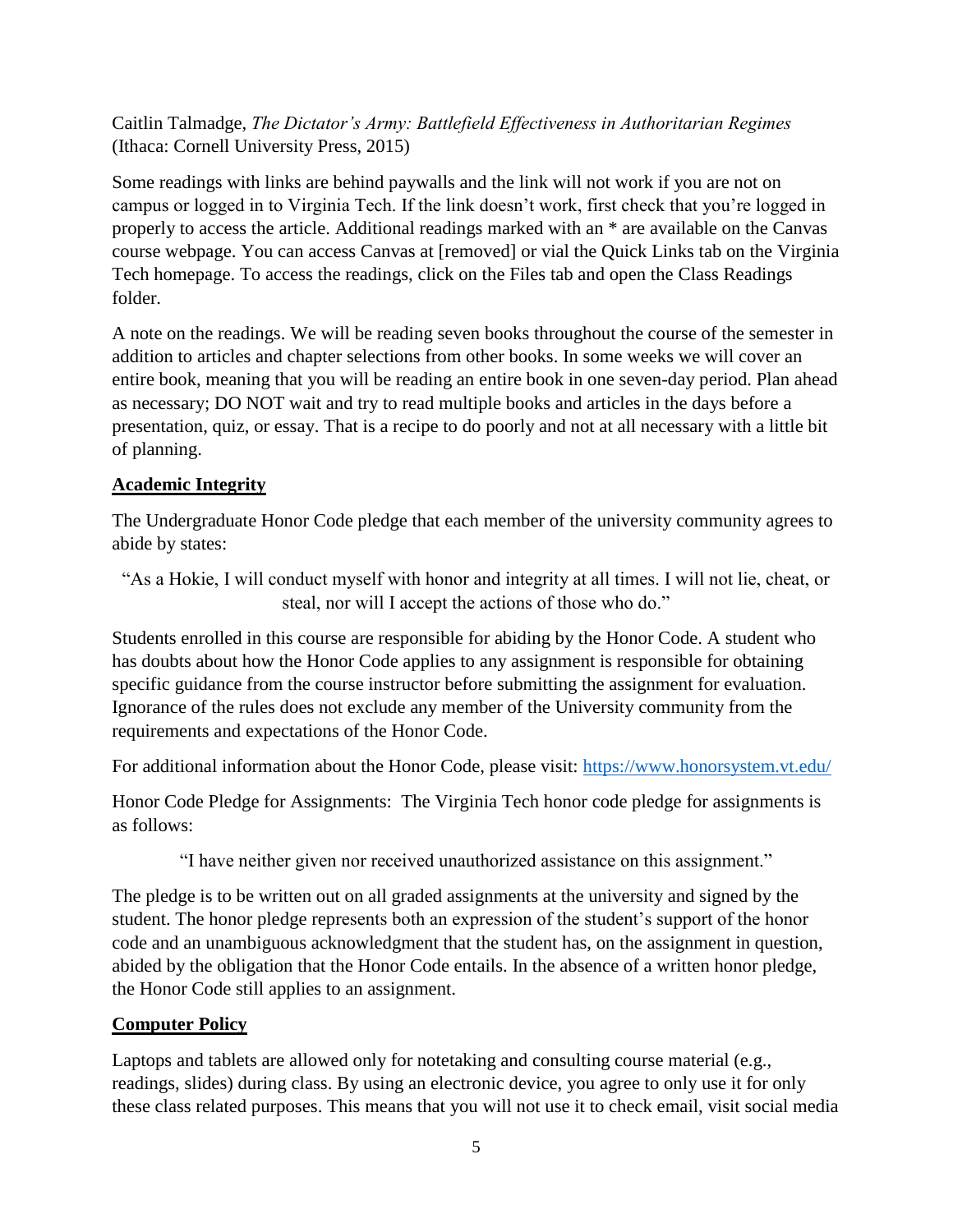Caitlin Talmadge, *The Dictator's Army: Battlefield Effectiveness in Authoritarian Regimes*  (Ithaca: Cornell University Press, 2015)

Some readings with links are behind paywalls and the link will not work if you are not on campus or logged in to Virginia Tech. If the link doesn't work, first check that you're logged in properly to access the article. Additional readings marked with an \* are available on the Canvas course webpage. You can access Canvas at [removed] or vial the Quick Links tab on the Virginia Tech homepage. To access the readings, click on the Files tab and open the Class Readings folder.

A note on the readings. We will be reading seven books throughout the course of the semester in addition to articles and chapter selections from other books. In some weeks we will cover an entire book, meaning that you will be reading an entire book in one seven-day period. Plan ahead as necessary; DO NOT wait and try to read multiple books and articles in the days before a presentation, quiz, or essay. That is a recipe to do poorly and not at all necessary with a little bit of planning.

# **Academic Integrity**

The Undergraduate Honor Code pledge that each member of the university community agrees to abide by states:

"As a Hokie, I will conduct myself with honor and integrity at all times. I will not lie, cheat, or steal, nor will I accept the actions of those who do."

Students enrolled in this course are responsible for abiding by the Honor Code. A student who has doubts about how the Honor Code applies to any assignment is responsible for obtaining specific guidance from the course instructor before submitting the assignment for evaluation. Ignorance of the rules does not exclude any member of the University community from the requirements and expectations of the Honor Code.

For additional information about the Honor Code, please visit:<https://www.honorsystem.vt.edu/>

Honor Code Pledge for Assignments: The Virginia Tech honor code pledge for assignments is as follows:

"I have neither given nor received unauthorized assistance on this assignment."

The pledge is to be written out on all graded assignments at the university and signed by the student. The honor pledge represents both an expression of the student's support of the honor code and an unambiguous acknowledgment that the student has, on the assignment in question, abided by the obligation that the Honor Code entails. In the absence of a written honor pledge, the Honor Code still applies to an assignment.

# **Computer Policy**

Laptops and tablets are allowed only for notetaking and consulting course material (e.g., readings, slides) during class. By using an electronic device, you agree to only use it for only these class related purposes. This means that you will not use it to check email, visit social media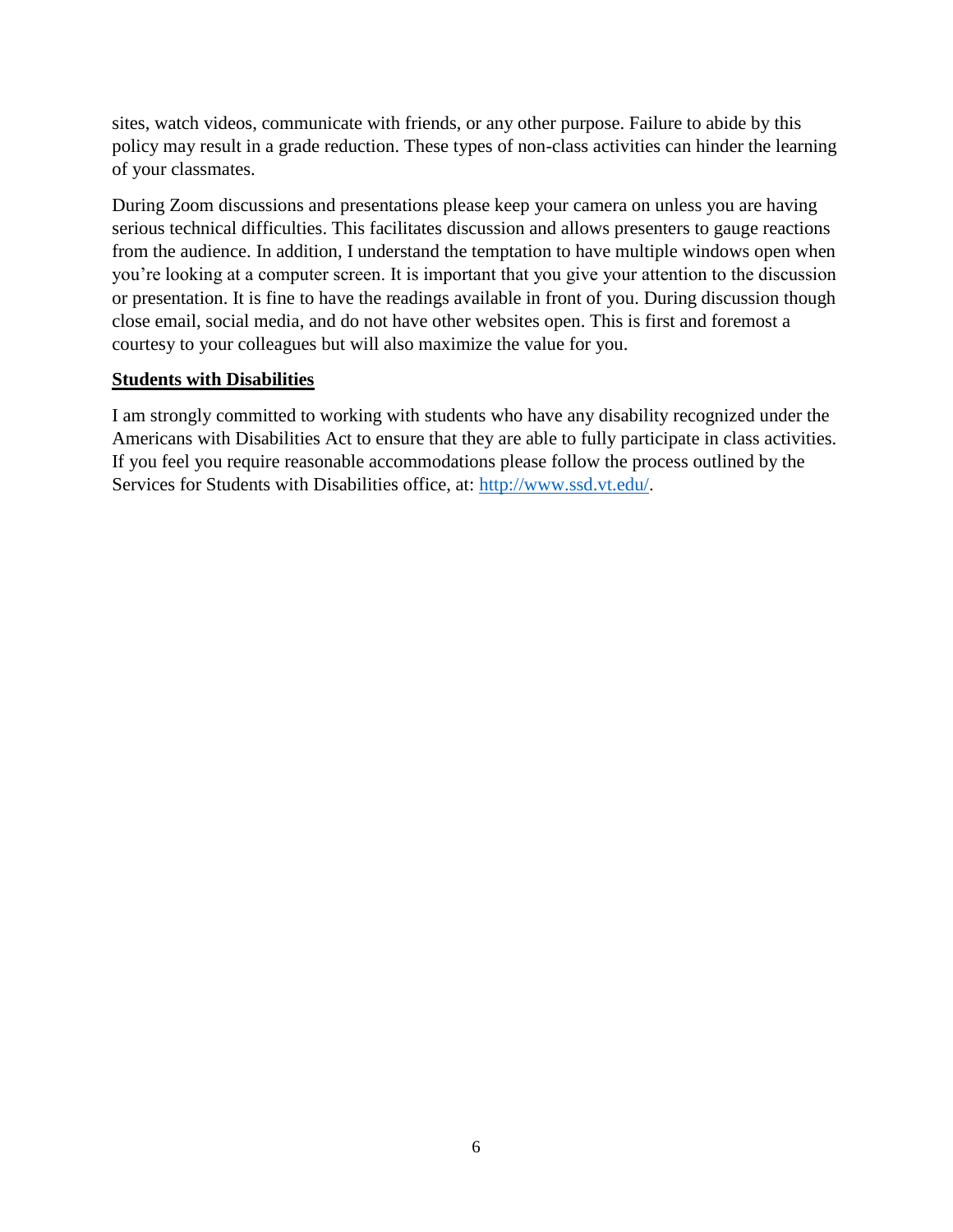sites, watch videos, communicate with friends, or any other purpose. Failure to abide by this policy may result in a grade reduction. These types of non-class activities can hinder the learning of your classmates.

During Zoom discussions and presentations please keep your camera on unless you are having serious technical difficulties. This facilitates discussion and allows presenters to gauge reactions from the audience. In addition, I understand the temptation to have multiple windows open when you're looking at a computer screen. It is important that you give your attention to the discussion or presentation. It is fine to have the readings available in front of you. During discussion though close email, social media, and do not have other websites open. This is first and foremost a courtesy to your colleagues but will also maximize the value for you.

# **Students with Disabilities**

I am strongly committed to working with students who have any disability recognized under the Americans with Disabilities Act to ensure that they are able to fully participate in class activities. If you feel you require reasonable accommodations please follow the process outlined by the Services for Students with Disabilities office, at: [http://www.ssd.vt.edu/.](http://www.ssd.vt.edu/)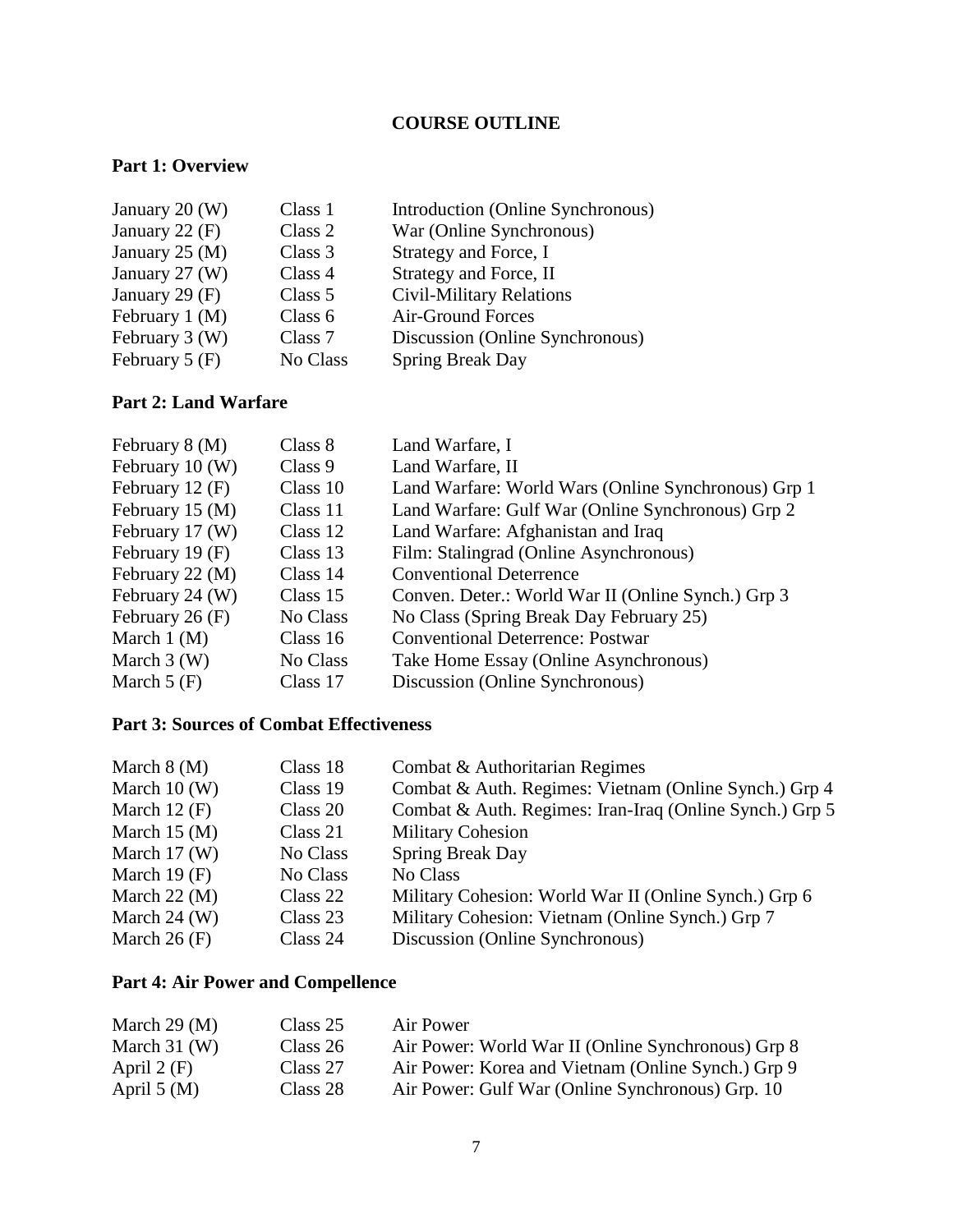# **COURSE OUTLINE**

## **Part 1: Overview**

| January 20 (W)   | Class 1   | Introduction (Online Synchronous) |
|------------------|-----------|-----------------------------------|
| January 22 $(F)$ | Class 2   | War (Online Synchronous)          |
| January 25 $(M)$ | Class 3   | Strategy and Force, I             |
| January 27 (W)   | Class 4   | Strategy and Force, II            |
| January 29 (F)   | Class 5   | <b>Civil-Military Relations</b>   |
| February $1(M)$  | Class $6$ | Air-Ground Forces                 |
| February 3 (W)   | Class 7   | Discussion (Online Synchronous)   |
| February $5(F)$  | No Class  | <b>Spring Break Day</b>           |

# **Part 2: Land Warfare**

| February 8 (M)    | Class 8  | Land Warfare, I                                     |
|-------------------|----------|-----------------------------------------------------|
| February $10(W)$  | Class 9  | Land Warfare, II                                    |
| February 12 $(F)$ | Class 10 | Land Warfare: World Wars (Online Synchronous) Grp 1 |
| February 15 $(M)$ | Class 11 | Land Warfare: Gulf War (Online Synchronous) Grp 2   |
| February 17 (W)   | Class 12 | Land Warfare: Afghanistan and Iraq                  |
| February 19 $(F)$ | Class 13 | Film: Stalingrad (Online Asynchronous)              |
| February 22 (M)   | Class 14 | <b>Conventional Deterrence</b>                      |
| February 24 (W)   | Class 15 | Conven. Deter.: World War II (Online Synch.) Grp 3  |
| February 26 $(F)$ | No Class | No Class (Spring Break Day February 25)             |
| March $1(M)$      | Class 16 | <b>Conventional Deterrence: Postwar</b>             |
| March $3(W)$      | No Class | Take Home Essay (Online Asynchronous)               |
| March $5(F)$      | Class 17 | Discussion (Online Synchronous)                     |

# **Part 3: Sources of Combat Effectiveness**

| March $8(M)$      | Class 18 | Combat & Authoritarian Regimes                          |
|-------------------|----------|---------------------------------------------------------|
| March $10(W)$     | Class 19 | Combat & Auth. Regimes: Vietnam (Online Synch.) Grp 4   |
| March $12$ (F)    | Class 20 | Combat & Auth. Regimes: Iran-Iraq (Online Synch.) Grp 5 |
| March $15 \,(M)$  | Class 21 | <b>Military Cohesion</b>                                |
| March $17(W)$     | No Class | <b>Spring Break Day</b>                                 |
| March 19 $(F)$    | No Class | No Class                                                |
| March $22 \, (M)$ | Class 22 | Military Cohesion: World War II (Online Synch.) Grp 6   |
| March $24$ (W)    | Class 23 | Military Cohesion: Vietnam (Online Synch.) Grp 7        |
| March $26$ (F)    | Class 24 | Discussion (Online Synchronous)                         |
|                   |          |                                                         |

# **Part 4: Air Power and Compellence**

| March $29 \,(M)$ | Class 25 | Air Power                                          |
|------------------|----------|----------------------------------------------------|
| March $31$ (W)   | Class 26 | Air Power: World War II (Online Synchronous) Grp 8 |
| April $2(F)$     | Class 27 | Air Power: Korea and Vietnam (Online Synch.) Grp 9 |
| April $5(M)$     | Class 28 | Air Power: Gulf War (Online Synchronous) Grp. 10   |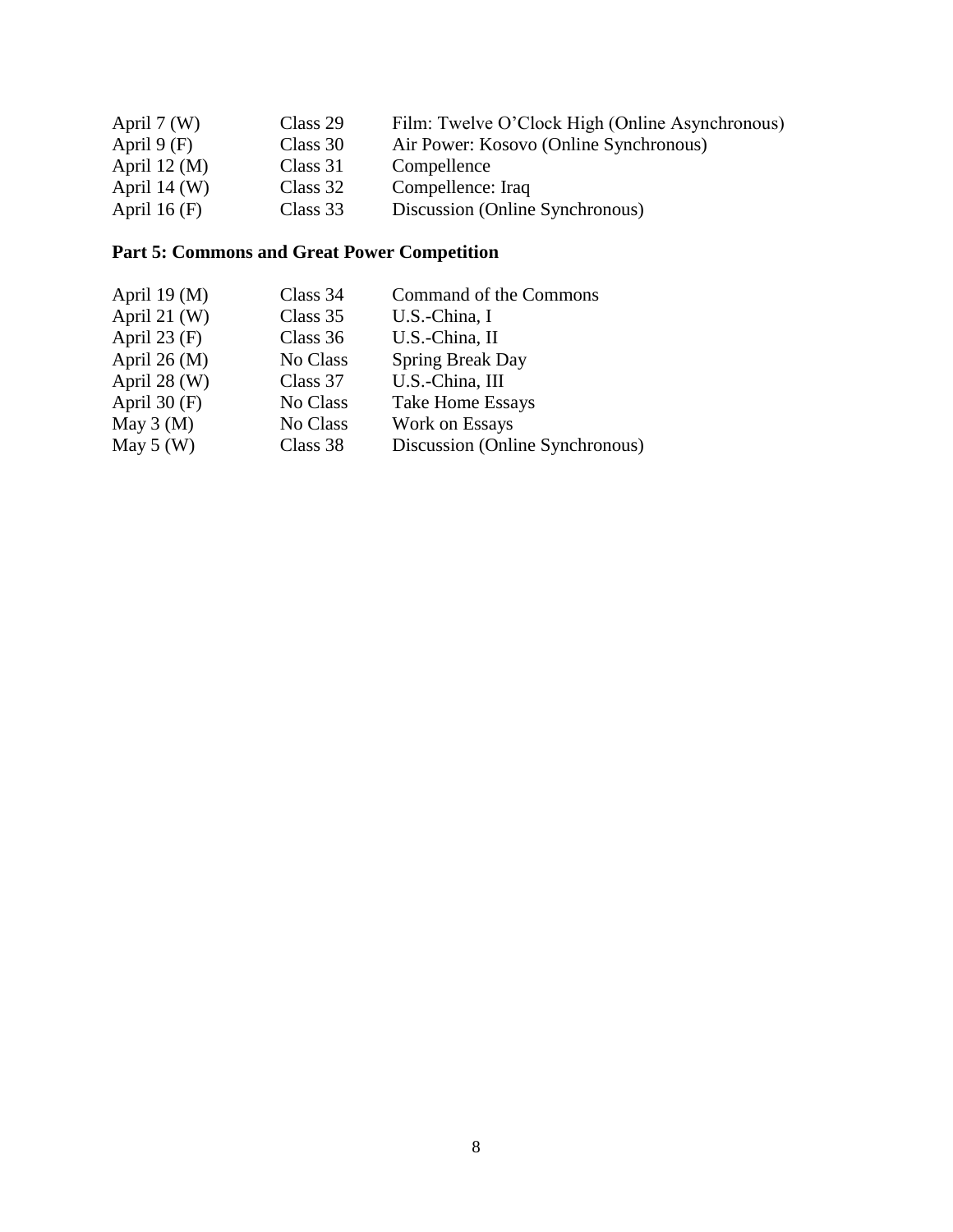| April $7(W)$      | Class 29 | Film: Twelve O'Clock High (Online Asynchronous) |
|-------------------|----------|-------------------------------------------------|
| April $9(F)$      | Class 30 | Air Power: Kosovo (Online Synchronous)          |
| April $12 \,(M)$  | Class 31 | Compellence                                     |
| April $14 \, (W)$ | Class 32 | Compellence: Iraq                               |
| April 16 $(F)$    | Class 33 | Discussion (Online Synchronous)                 |

# **Part 5: Commons and Great Power Competition**

| April 19 $(M)$ | Class 34 | Command of the Commons          |
|----------------|----------|---------------------------------|
| April 21 $(W)$ | Class 35 | U.S.-China, I                   |
| April $23$ (F) | Class 36 | U.S.-China, II                  |
| April 26 $(M)$ | No Class | <b>Spring Break Day</b>         |
| April $28$ (W) | Class 37 | U.S.-China, III                 |
| April $30(F)$  | No Class | <b>Take Home Essays</b>         |
| May $3(M)$     | No Class | Work on Essays                  |
| May $5(W)$     | Class 38 | Discussion (Online Synchronous) |
|                |          |                                 |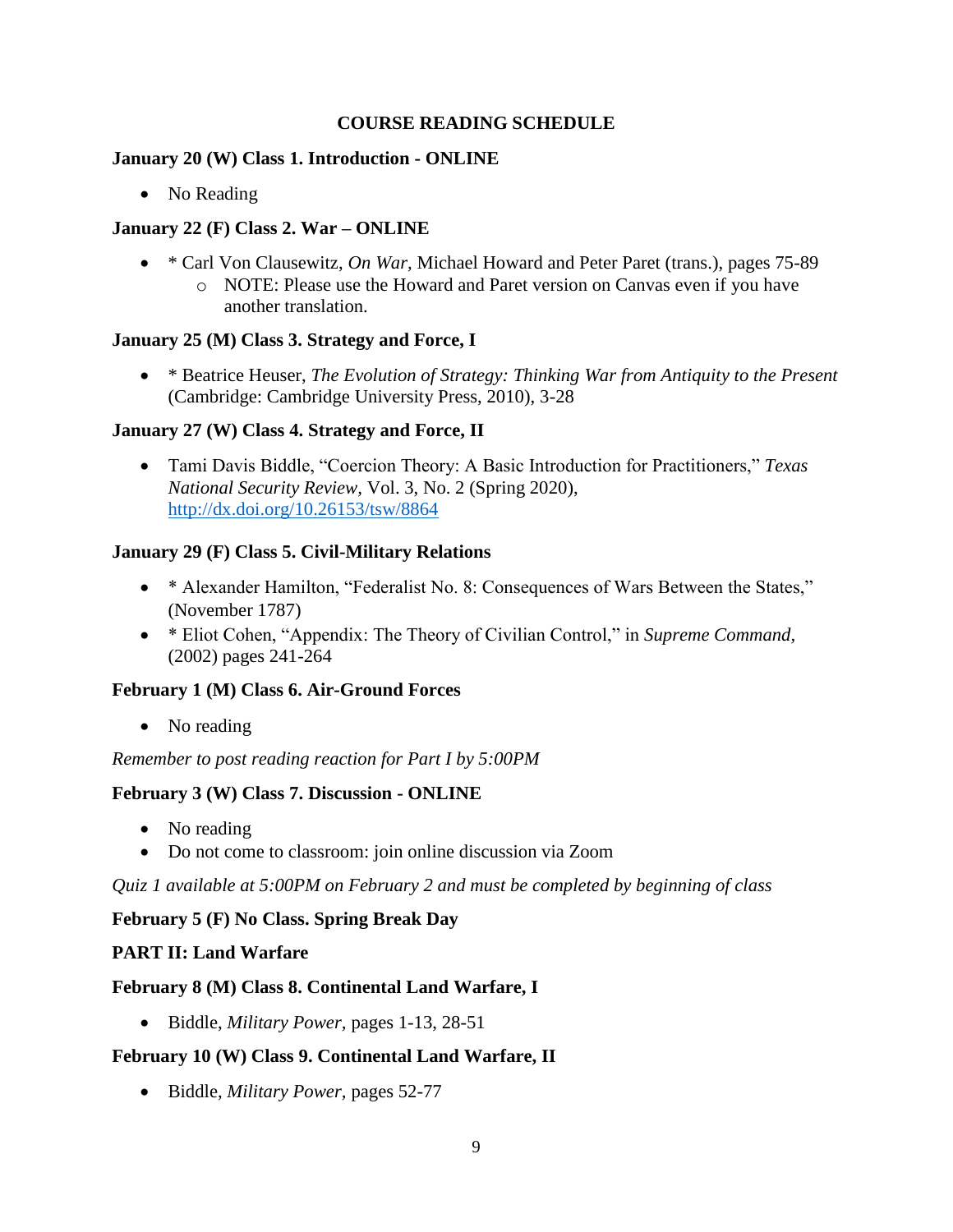## **COURSE READING SCHEDULE**

#### **January 20 (W) Class 1. Introduction - ONLINE**

• No Reading

# **January 22 (F) Class 2. War – ONLINE**

• \* Carl Von Clausewitz, *On War*, Michael Howard and Peter Paret (trans.), pages 75-89 o NOTE: Please use the Howard and Paret version on Canvas even if you have another translation.

#### **January 25 (M) Class 3. Strategy and Force, I**

• \* Beatrice Heuser, *The Evolution of Strategy: Thinking War from Antiquity to the Present*  (Cambridge: Cambridge University Press, 2010), 3-28

## **January 27 (W) Class 4. Strategy and Force, II**

• Tami Davis Biddle, "Coercion Theory: A Basic Introduction for Practitioners," *Texas National Security Review,* Vol. 3, No. 2 (Spring 2020), <http://dx.doi.org/10.26153/tsw/8864>

## **January 29 (F) Class 5. Civil-Military Relations**

- \* Alexander Hamilton, "Federalist No. 8: Consequences of Wars Between the States," (November 1787)
- \* Eliot Cohen, "Appendix: The Theory of Civilian Control," in *Supreme Command,*  (2002) pages 241-264

#### **February 1 (M) Class 6. Air-Ground Forces**

• No reading

*Remember to post reading reaction for Part I by 5:00PM* 

# **February 3 (W) Class 7. Discussion - ONLINE**

- No reading
- Do not come to classroom: join online discussion via Zoom

*Quiz 1 available at 5:00PM on February 2 and must be completed by beginning of class*

#### **February 5 (F) No Class. Spring Break Day**

#### **PART II: Land Warfare**

#### **February 8 (M) Class 8. Continental Land Warfare, I**

• Biddle, *Military Power,* pages 1-13, 28-51

# **February 10 (W) Class 9. Continental Land Warfare, II**

• Biddle, *Military Power,* pages 52-77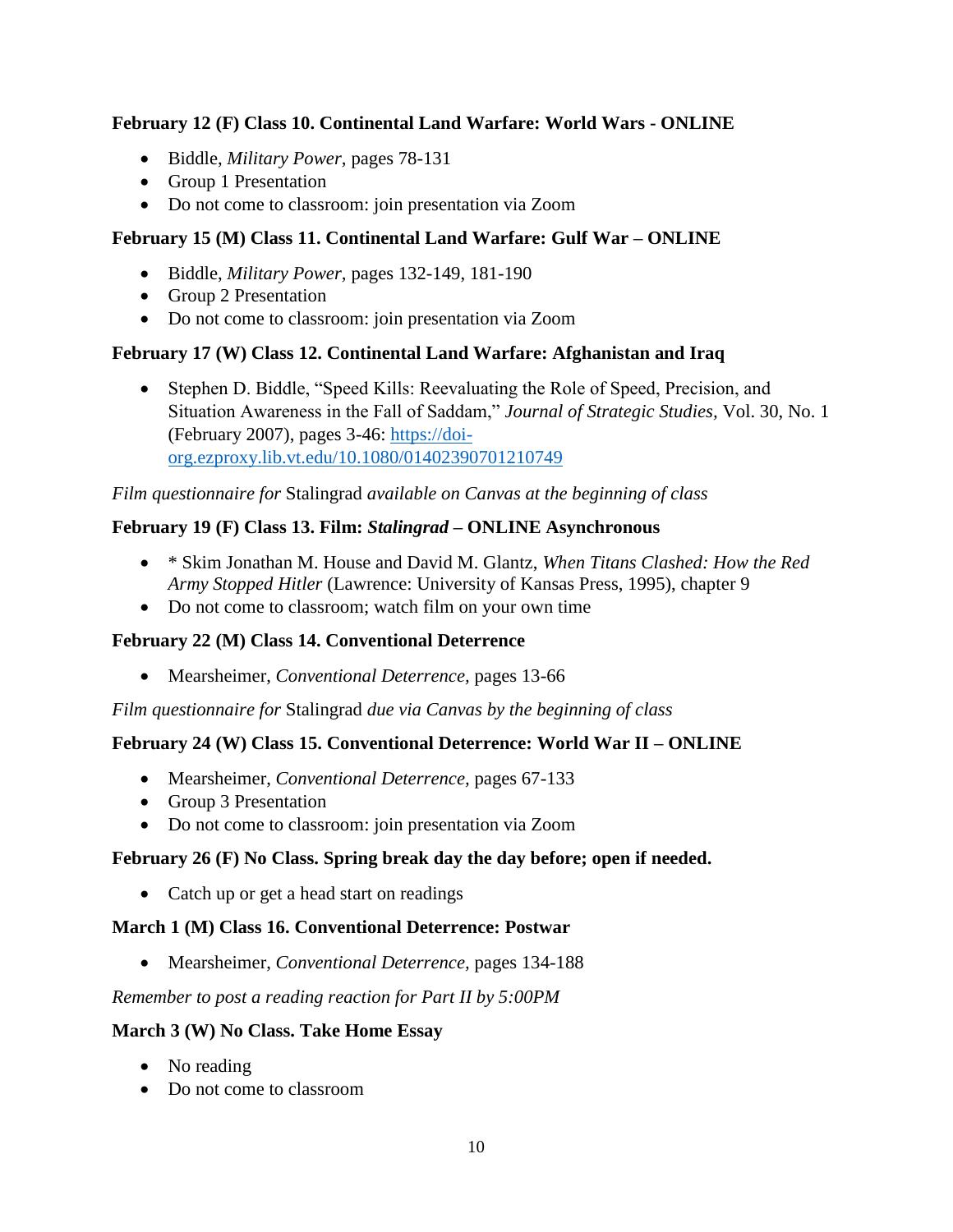# **February 12 (F) Class 10. Continental Land Warfare: World Wars - ONLINE**

- Biddle, *Military Power,* pages 78-131
- Group 1 Presentation
- Do not come to classroom: join presentation via Zoom

# **February 15 (M) Class 11. Continental Land Warfare: Gulf War – ONLINE**

- Biddle, *Military Power,* pages 132-149, 181-190
- Group 2 Presentation
- Do not come to classroom: join presentation via Zoom

## **February 17 (W) Class 12. Continental Land Warfare: Afghanistan and Iraq**

• Stephen D. Biddle, "Speed Kills: Reevaluating the Role of Speed, Precision, and Situation Awareness in the Fall of Saddam," *Journal of Strategic Studies,* Vol. 30, No. 1 (February 2007), pages 3-46: [https://doi](https://doi-org.ezproxy.lib.vt.edu/10.1080/01402390701210749)[org.ezproxy.lib.vt.edu/10.1080/01402390701210749](https://doi-org.ezproxy.lib.vt.edu/10.1080/01402390701210749)

*Film questionnaire for* Stalingrad *available on Canvas at the beginning of class*

## **February 19 (F) Class 13. Film:** *Stalingrad* **– ONLINE Asynchronous**

- \* Skim Jonathan M. House and David M. Glantz, *When Titans Clashed: How the Red Army Stopped Hitler* (Lawrence: University of Kansas Press, 1995), chapter 9
- Do not come to classroom; watch film on your own time

#### **February 22 (M) Class 14. Conventional Deterrence**

• Mearsheimer, *Conventional Deterrence,* pages 13-66

*Film questionnaire for* Stalingrad *due via Canvas by the beginning of class*

#### **February 24 (W) Class 15. Conventional Deterrence: World War II – ONLINE**

- Mearsheimer, *Conventional Deterrence,* pages 67-133
- Group 3 Presentation
- Do not come to classroom: join presentation via Zoom

#### **February 26 (F) No Class. Spring break day the day before; open if needed.**

• Catch up or get a head start on readings

#### **March 1 (M) Class 16. Conventional Deterrence: Postwar**

• Mearsheimer, *Conventional Deterrence,* pages 134-188

#### *Remember to post a reading reaction for Part II by 5:00PM*

#### **March 3 (W) No Class. Take Home Essay**

- No reading
- Do not come to classroom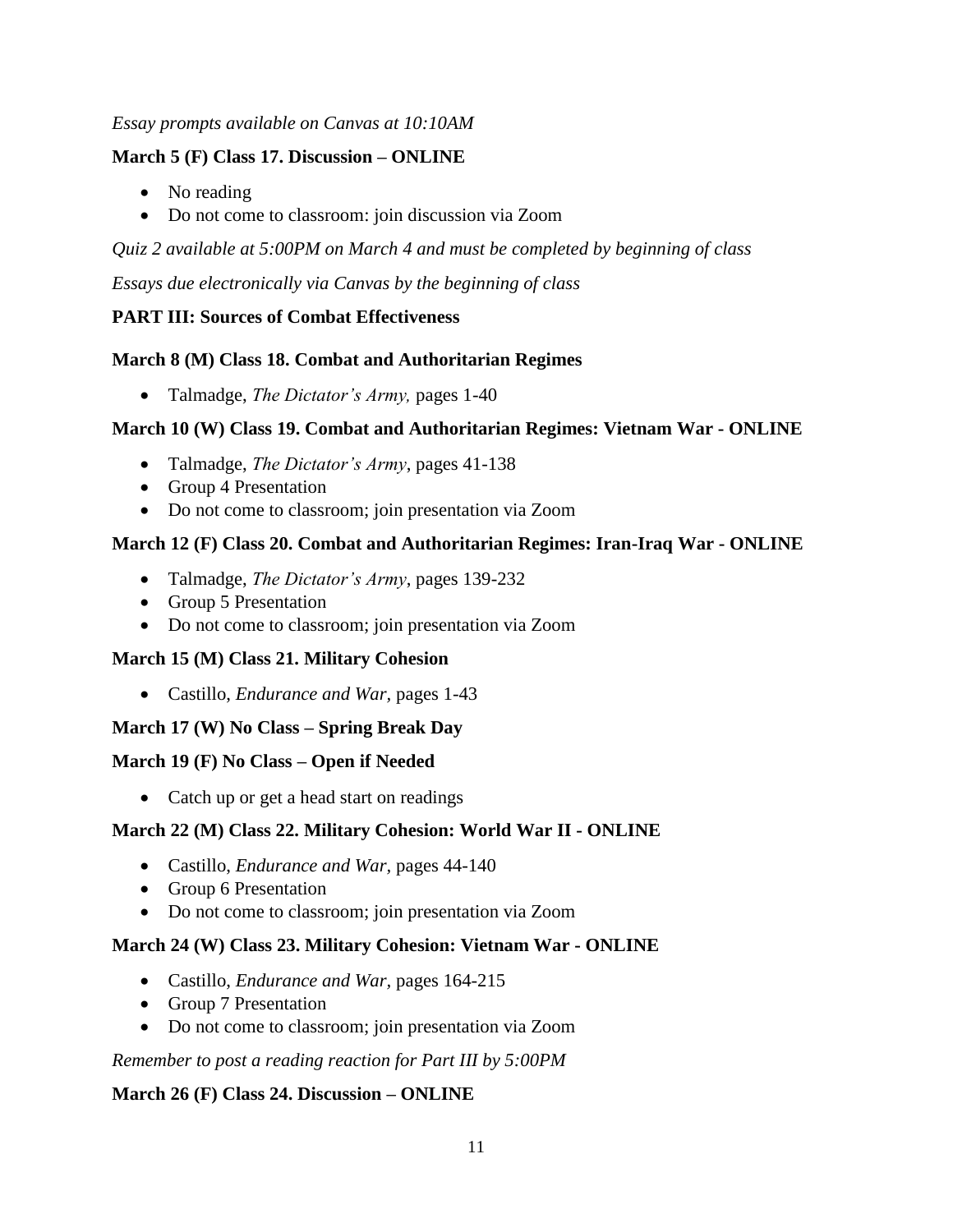## *Essay prompts available on Canvas at 10:10AM*

## **March 5 (F) Class 17. Discussion – ONLINE**

- No reading
- Do not come to classroom: join discussion via Zoom

*Quiz 2 available at 5:00PM on March 4 and must be completed by beginning of class* 

*Essays due electronically via Canvas by the beginning of class*

# **PART III: Sources of Combat Effectiveness**

# **March 8 (M) Class 18. Combat and Authoritarian Regimes**

• Talmadge, *The Dictator's Army,* pages 1-40

# **March 10 (W) Class 19. Combat and Authoritarian Regimes: Vietnam War - ONLINE**

- Talmadge, *The Dictator's Army*, pages 41-138
- Group 4 Presentation
- Do not come to classroom; join presentation via Zoom

# **March 12 (F) Class 20. Combat and Authoritarian Regimes: Iran-Iraq War - ONLINE**

- Talmadge, *The Dictator's Army*, pages 139-232
- Group 5 Presentation
- Do not come to classroom; join presentation via Zoom

# **March 15 (M) Class 21. Military Cohesion**

• Castillo, *Endurance and War,* pages 1-43

# **March 17 (W) No Class – Spring Break Day**

# **March 19 (F) No Class – Open if Needed**

• Catch up or get a head start on readings

# **March 22 (M) Class 22. Military Cohesion: World War II - ONLINE**

- Castillo, *Endurance and War,* pages 44-140
- Group 6 Presentation
- Do not come to classroom; join presentation via Zoom

# **March 24 (W) Class 23. Military Cohesion: Vietnam War - ONLINE**

- Castillo, *Endurance and War,* pages 164-215
- Group 7 Presentation
- Do not come to classroom; join presentation via Zoom

*Remember to post a reading reaction for Part III by 5:00PM* 

# **March 26 (F) Class 24. Discussion – ONLINE**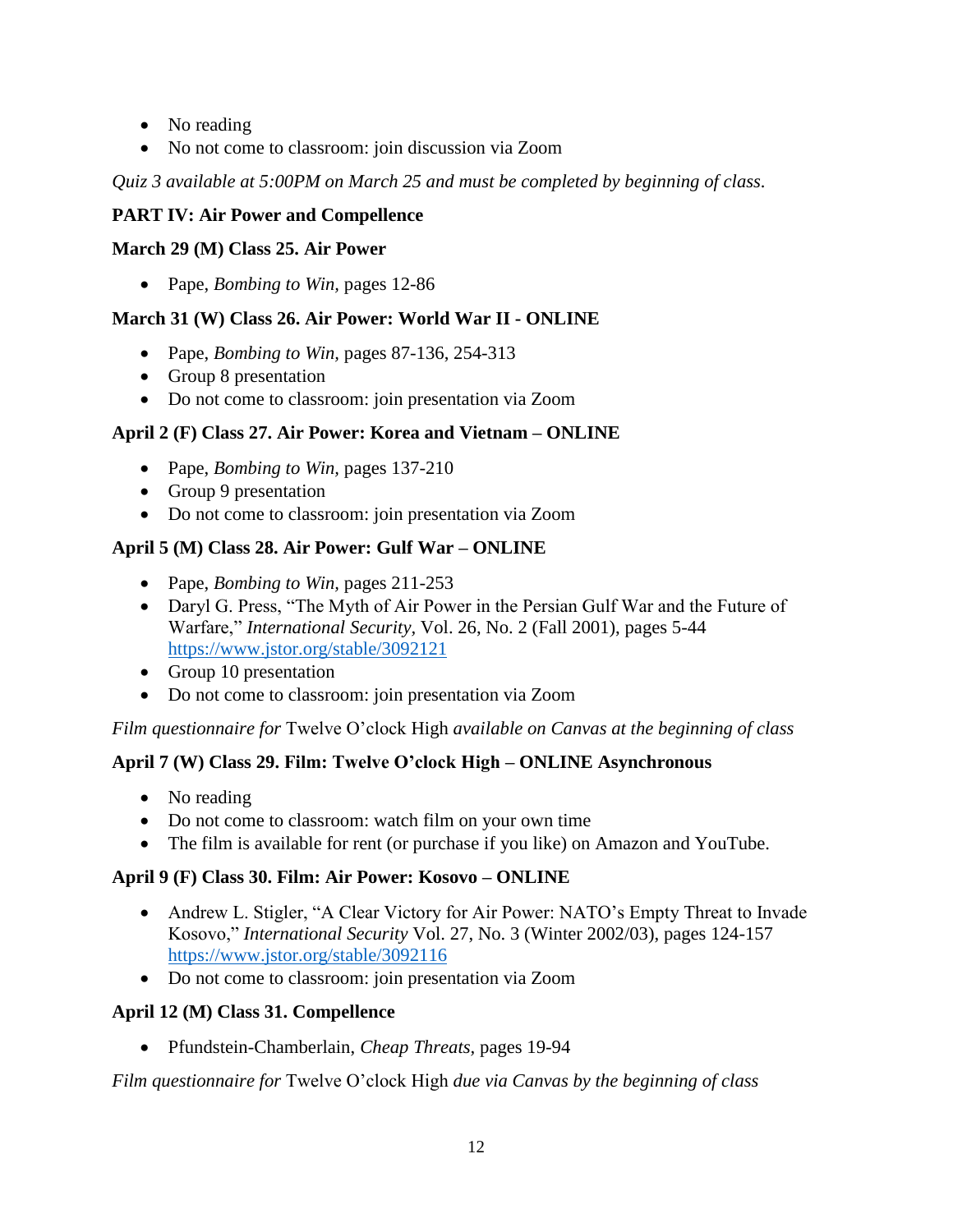- No reading
- No not come to classroom: join discussion via Zoom

*Quiz 3 available at 5:00PM on March 25 and must be completed by beginning of class.*

# **PART IV: Air Power and Compellence**

# **March 29 (M) Class 25. Air Power**

• Pape, *Bombing to Win,* pages 12-86

# **March 31 (W) Class 26. Air Power: World War II - ONLINE**

- Pape, *Bombing to Win,* pages 87-136, 254-313
- Group 8 presentation
- Do not come to classroom: join presentation via Zoom

# **April 2 (F) Class 27. Air Power: Korea and Vietnam – ONLINE**

- Pape, *Bombing to Win,* pages 137-210
- Group 9 presentation
- Do not come to classroom: join presentation via Zoom

# **April 5 (M) Class 28. Air Power: Gulf War – ONLINE**

- Pape, *Bombing to Win,* pages 211-253
- Daryl G. Press, "The Myth of Air Power in the Persian Gulf War and the Future of Warfare," *International Security,* Vol. 26, No. 2 (Fall 2001), pages 5-44 <https://www.jstor.org/stable/3092121>
- Group 10 presentation
- Do not come to classroom: join presentation via Zoom

*Film questionnaire for* Twelve O'clock High *available on Canvas at the beginning of class*

# **April 7 (W) Class 29. Film: Twelve O'clock High – ONLINE Asynchronous**

- No reading
- Do not come to classroom: watch film on your own time
- The film is available for rent (or purchase if you like) on Amazon and YouTube.

# **April 9 (F) Class 30. Film: Air Power: Kosovo – ONLINE**

- Andrew L. Stigler, "A Clear Victory for Air Power: NATO's Empty Threat to Invade Kosovo," *International Security* Vol. 27, No. 3 (Winter 2002/03), pages 124-157 <https://www.jstor.org/stable/3092116>
- Do not come to classroom: join presentation via Zoom

# **April 12 (M) Class 31. Compellence**

• Pfundstein-Chamberlain, *Cheap Threats,* pages 19-94

*Film questionnaire for* Twelve O'clock High *due via Canvas by the beginning of class*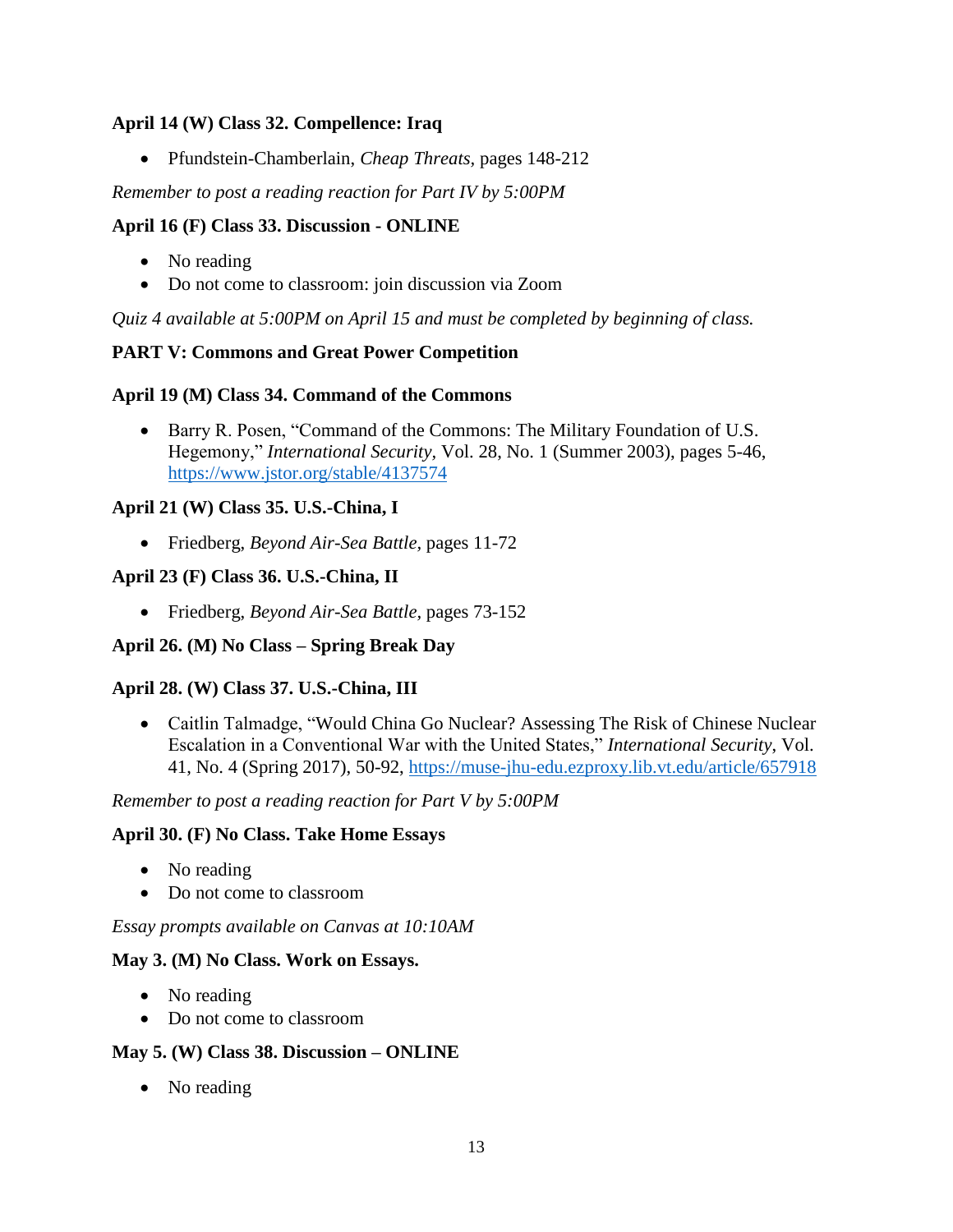## **April 14 (W) Class 32. Compellence: Iraq**

• Pfundstein-Chamberlain, *Cheap Threats,* pages 148-212

*Remember to post a reading reaction for Part IV by 5:00PM* 

## **April 16 (F) Class 33. Discussion - ONLINE**

- No reading
- Do not come to classroom: join discussion via Zoom

*Quiz 4 available at 5:00PM on April 15 and must be completed by beginning of class.*

## **PART V: Commons and Great Power Competition**

## **April 19 (M) Class 34. Command of the Commons**

• Barry R. Posen, "Command of the Commons: The Military Foundation of U.S. Hegemony," *International Security,* Vol. 28, No. 1 (Summer 2003), pages 5-46, <https://www.jstor.org/stable/4137574>

## **April 21 (W) Class 35. U.S.-China, I**

• Friedberg, *Beyond Air-Sea Battle,* pages 11-72

## **April 23 (F) Class 36. U.S.-China, II**

• Friedberg, *Beyond Air-Sea Battle,* pages 73-152

# **April 26. (M) No Class – Spring Break Day**

#### **April 28. (W) Class 37. U.S.-China, III**

• Caitlin Talmadge, "Would China Go Nuclear? Assessing The Risk of Chinese Nuclear Escalation in a Conventional War with the United States," *International Security*, Vol. 41, No. 4 (Spring 2017), 50-92,<https://muse-jhu-edu.ezproxy.lib.vt.edu/article/657918>

#### *Remember to post a reading reaction for Part V by 5:00PM*

#### **April 30. (F) No Class. Take Home Essays**

- No reading
- Do not come to classroom

#### *Essay prompts available on Canvas at 10:10AM*

#### **May 3. (M) No Class. Work on Essays.**

- No reading
- Do not come to classroom

#### **May 5. (W) Class 38. Discussion – ONLINE**

• No reading